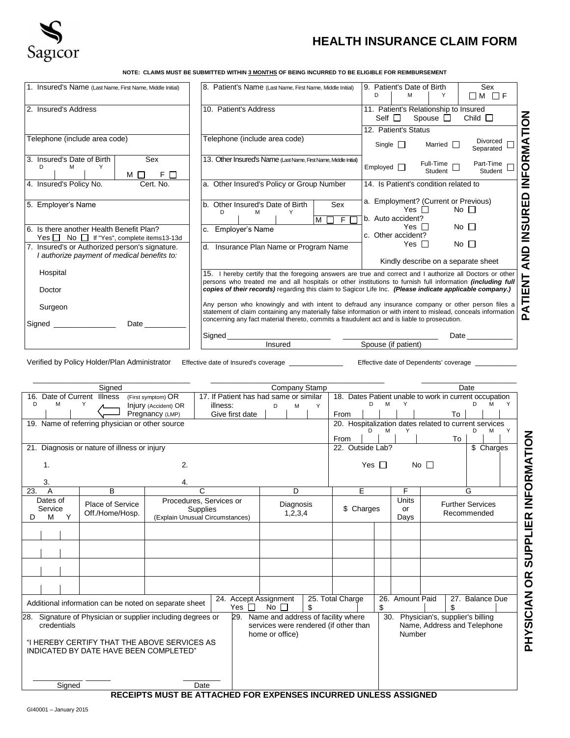

## Sagicor **HEALTH INSURANCE CLAIM FORM**

**NOTE: CLAIMS MUST BE SUBMITTED WITHIN 3 MONTHS OF BEING INCURRED TO BE ELIGIBLE FOR REIMBURSEMENT**

| 1. Insured's Name (Last Name, First Name, Middle Initial)                                     | 8. Patient's Name (Last Name, First Name, Middle Initial)                                                                                                                                                                                                                                                                                    | 9. Patient's Date of Birth<br>Sex<br>D<br>м<br>Υ<br>∩M ∩F                                                     |  |
|-----------------------------------------------------------------------------------------------|----------------------------------------------------------------------------------------------------------------------------------------------------------------------------------------------------------------------------------------------------------------------------------------------------------------------------------------------|---------------------------------------------------------------------------------------------------------------|--|
| 2. Insured's Address                                                                          | 10. Patient's Address                                                                                                                                                                                                                                                                                                                        | 11. Patient's Relationship to Insured<br>Spouse $\Box$<br>Child $\Box$<br>Self $\Box$<br>12. Patient's Status |  |
| Telephone (include area code)                                                                 | Telephone (include area code)                                                                                                                                                                                                                                                                                                                | ORMATION<br>Divorced<br>Married $\Box$<br>Single $\Box$<br>Separated                                          |  |
| 3. Insured's Date of Birth<br>Sex<br>D<br>м<br>Υ<br>F.<br>$M \Box$<br>П                       | 13. Other Insured's Name (Last Name, First Name, Middle Initial)                                                                                                                                                                                                                                                                             | $Full-Time \Box$<br>Part-Time<br>Emploved<br>Student<br>Student                                               |  |
| 4. Insured's Policy No.<br>Cert. No.                                                          | a. Other Insured's Policy or Group Number                                                                                                                                                                                                                                                                                                    | É<br>≧<br>14. Is Patient's condition related to                                                               |  |
| 5. Employer's Name                                                                            | b. Other Insured's Date of Birth<br>Sex<br>D<br>M<br>F.<br>M                                                                                                                                                                                                                                                                                 | 읍<br>a. Employment? (Current or Previous)<br>$No$ $\Box$<br>Yes $\Box$<br>$\mathbb{R}$<br>b. Auto accident?   |  |
| 6. Is there another Health Benefit Plan?<br>Yes No If "Yes", complete items13-13d             | Employer's Name                                                                                                                                                                                                                                                                                                                              | $\overline{S}$<br>No $\square$<br>Yes II<br>c. Other accident?                                                |  |
| 7. Insured's or Authorized person's signature.<br>I authorize payment of medical benefits to: | Insurance Plan Name or Program Name<br>d.                                                                                                                                                                                                                                                                                                    | No <sub>1</sub><br>Yes II<br>QNA<br>Kindly describe on a separate sheet                                       |  |
| Hospital<br>Doctor                                                                            | 15. I hereby certify that the foregoing answers are true and correct and I authorize all Doctors or other<br>persons who treated me and all hospitals or other institutions to furnish full information <i>(including full</i> )<br>copies of their records) regarding this claim to Sagicor Life Inc. (Please indicate applicable company.) | ⊢                                                                                                             |  |
| Surgeon<br>Signed<br>Date                                                                     | Any person who knowingly and with intent to defraud any insurance company or other person files a<br>statement of claim containing any materially false information or with intent to mislead, conceals information<br>concerning any fact material thereto, commits a fraudulent act and is liable to prosecution.                          | <b>ATIEN</b><br>൨                                                                                             |  |
|                                                                                               | Signed<br>Insured                                                                                                                                                                                                                                                                                                                            | Date<br>Spouse (if patient)                                                                                   |  |

Verified by Policy Holder/Plan Administrator Effective date of Insured's coverage \_\_\_\_\_\_\_\_\_\_\_\_\_\_\_ Effective date of Dependents' coverage \_

**PHYSICIAN OR SUPPLIER INFORMATION**

PHYSICIAN OR SUPPLIER INFORMATION

|                                                                 | Signed                                                      |                                                                               |                                                    |                       |                 |                                        |            |                                                                                 |            |                                                        |             | Date                        |                 |   |
|-----------------------------------------------------------------|-------------------------------------------------------------|-------------------------------------------------------------------------------|----------------------------------------------------|-----------------------|-----------------|----------------------------------------|------------|---------------------------------------------------------------------------------|------------|--------------------------------------------------------|-------------|-----------------------------|-----------------|---|
| 16. Date of Current Illness                                     |                                                             | Company Stamp<br>17. If Patient has had same or similar<br>(First symptom) OR |                                                    |                       |                 |                                        |            |                                                                                 |            | 18. Dates Patient unable to work in current occupation |             |                             |                 |   |
| D<br>M                                                          | Y                                                           | Injury (Accident) OR                                                          | illness:                                           |                       | D               | M                                      | Y          |                                                                                 | D<br>M     | Y                                                      |             |                             | D<br>M          | Y |
|                                                                 |                                                             | Pregnancy (LMP)                                                               |                                                    | Give first date       |                 |                                        |            | From                                                                            |            |                                                        |             | To                          |                 |   |
| 19. Name of referring physician or other source                 |                                                             |                                                                               |                                                    |                       |                 |                                        |            |                                                                                 |            | 20. Hospitalization dates related to current services  |             |                             |                 |   |
|                                                                 |                                                             |                                                                               |                                                    |                       |                 |                                        |            | From                                                                            | D<br>м     | Y                                                      |             | To                          | M<br>D.         | Y |
| 21. Diagnosis or nature of illness or injury                    |                                                             |                                                                               |                                                    |                       |                 | 22. Outside Lab?<br>$\sqrt{$}$ Charges |            |                                                                                 |            |                                                        |             |                             |                 |   |
|                                                                 |                                                             |                                                                               |                                                    |                       |                 |                                        |            |                                                                                 |            |                                                        |             |                             |                 |   |
|                                                                 | 2.<br>1.                                                    |                                                                               |                                                    |                       |                 |                                        |            | Yes $\Box$<br>No $\Box$                                                         |            |                                                        |             |                             |                 |   |
| 3.                                                              | 4.                                                          |                                                                               |                                                    |                       |                 |                                        |            |                                                                                 |            |                                                        |             |                             |                 |   |
| $\overline{A}$<br>23.                                           | B                                                           |                                                                               | C                                                  |                       |                 | D                                      |            |                                                                                 | E          | F                                                      |             | G                           |                 |   |
| Dates of                                                        | Place of Service                                            |                                                                               | Procedures. Services or                            |                       |                 | Diagnosis                              |            |                                                                                 |            | <b>Units</b>                                           |             | <b>Further Services</b>     |                 |   |
| Y<br>M<br>D                                                     | Service<br>Off./Home/Hosp.                                  |                                                                               | <b>Supplies</b><br>(Explain Unusual Circumstances) |                       | 1,2,3,4         |                                        | \$ Charges |                                                                                 | or<br>Days |                                                        | Recommended |                             |                 |   |
|                                                                 |                                                             |                                                                               |                                                    |                       |                 |                                        |            |                                                                                 |            |                                                        |             |                             |                 |   |
|                                                                 |                                                             |                                                                               |                                                    |                       |                 |                                        |            |                                                                                 |            |                                                        |             |                             |                 |   |
|                                                                 |                                                             |                                                                               |                                                    |                       |                 |                                        |            |                                                                                 |            |                                                        |             |                             |                 |   |
|                                                                 |                                                             |                                                                               |                                                    |                       |                 |                                        |            |                                                                                 |            |                                                        |             |                             |                 |   |
|                                                                 |                                                             |                                                                               |                                                    |                       |                 |                                        |            |                                                                                 |            |                                                        |             |                             |                 |   |
|                                                                 |                                                             |                                                                               |                                                    |                       |                 |                                        |            |                                                                                 |            |                                                        |             |                             |                 |   |
|                                                                 |                                                             |                                                                               |                                                    |                       |                 |                                        |            |                                                                                 |            |                                                        |             |                             |                 |   |
|                                                                 | Additional information can be noted on separate sheet       |                                                                               |                                                    | 24. Accept Assignment |                 |                                        |            | 25. Total Charge                                                                |            | 26. Amount Paid                                        |             |                             | 27. Balance Due |   |
|                                                                 |                                                             |                                                                               |                                                    | Yes $\Box$            | $No$ $\Box$     |                                        | \$         |                                                                                 | \$         |                                                        |             | \$                          |                 |   |
| credentials                                                     | 28. Signature of Physician or supplier including degrees or |                                                                               |                                                    |                       |                 |                                        |            | 29. Name and address of facility where<br>services were rendered (if other than |            | 30. Physician's, supplier's billing                    |             | Name, Address and Telephone |                 |   |
|                                                                 |                                                             |                                                                               |                                                    |                       | home or office) |                                        |            |                                                                                 |            | Number                                                 |             |                             |                 |   |
| "I HEREBY CERTIFY THAT THE ABOVE SERVICES AS                    |                                                             |                                                                               |                                                    |                       |                 |                                        |            |                                                                                 |            |                                                        |             |                             |                 |   |
| INDICATED BY DATE HAVE BEEN COMPLETED"                          |                                                             |                                                                               |                                                    |                       |                 |                                        |            |                                                                                 |            |                                                        |             |                             |                 |   |
|                                                                 |                                                             |                                                                               |                                                    |                       |                 |                                        |            |                                                                                 |            |                                                        |             |                             |                 |   |
|                                                                 |                                                             |                                                                               |                                                    |                       |                 |                                        |            |                                                                                 |            |                                                        |             |                             |                 |   |
| Signed                                                          |                                                             |                                                                               | Date                                               |                       |                 |                                        |            |                                                                                 |            |                                                        |             |                             |                 |   |
| RECEIPTS MUST BE ATTACHED FOR EXPENSES INCURRED UNLESS ASSIGNED |                                                             |                                                                               |                                                    |                       |                 |                                        |            |                                                                                 |            |                                                        |             |                             |                 |   |